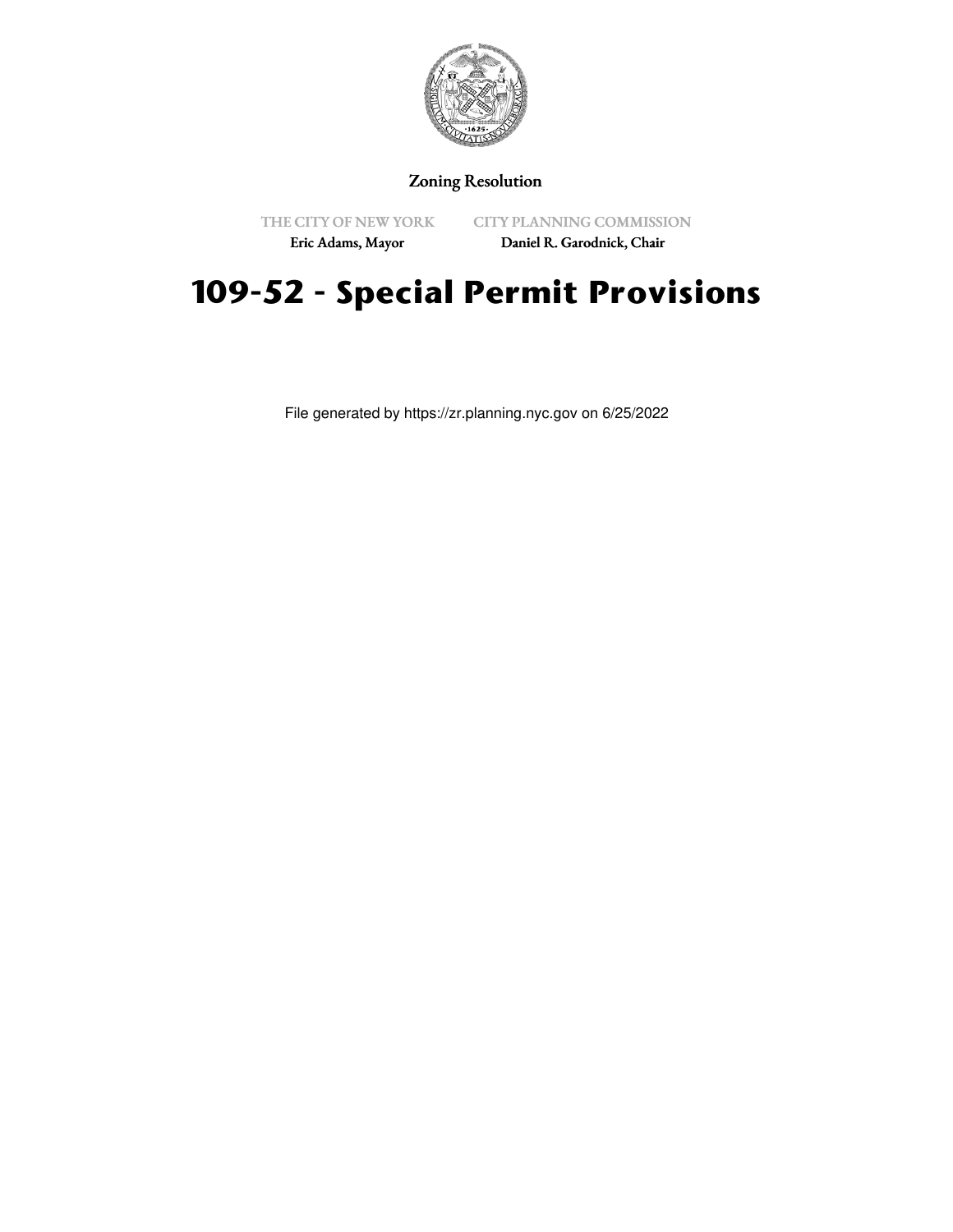

### Zoning Resolution

THE CITY OF NEW YORK

CITY PLANNING COMMISSION

Eric Adams, Mayor

Daniel R. Garodnick, Chair

# **109-52 - Special Permit Provisions**

File generated by https://zr.planning.nyc.gov on 6/25/2022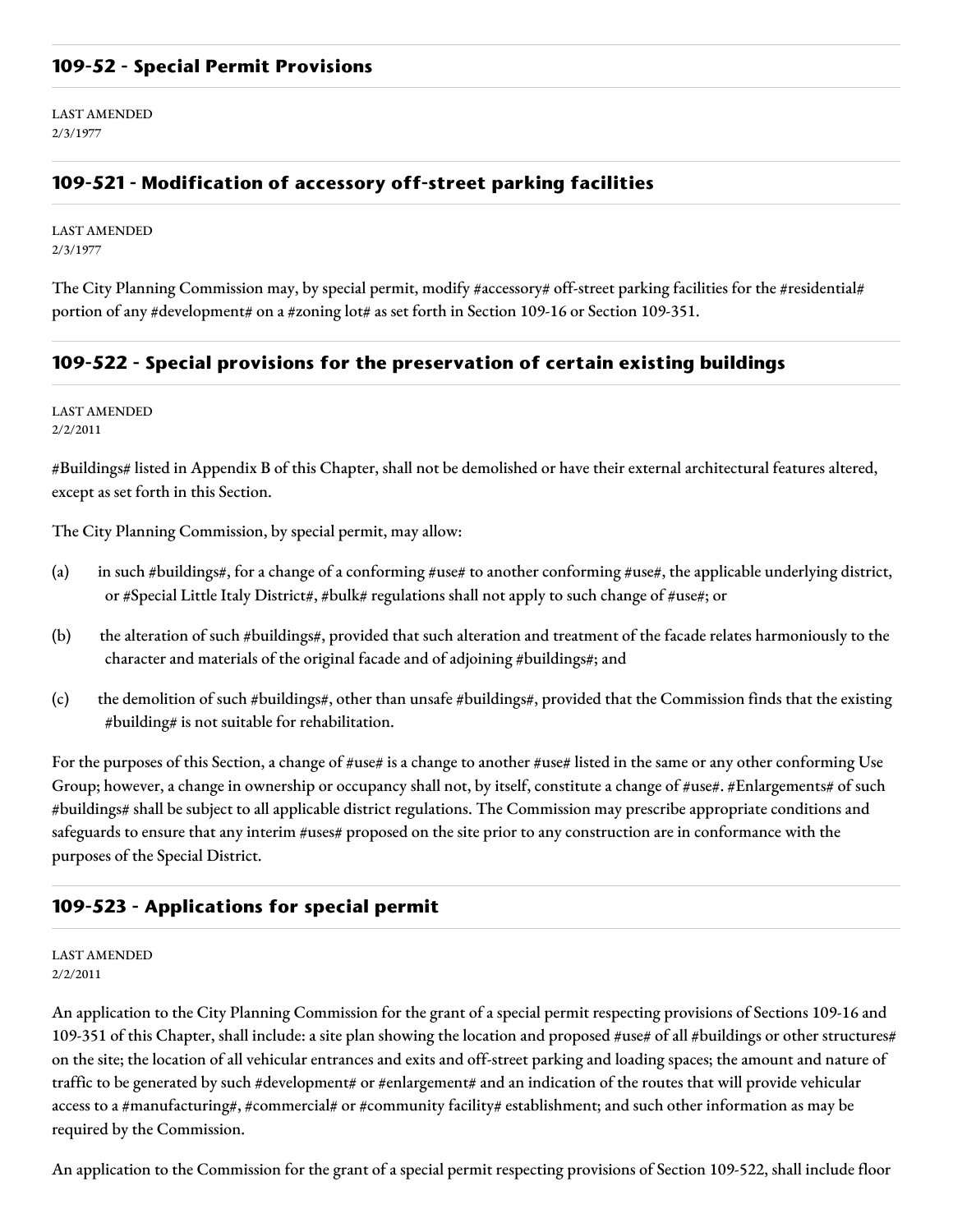#### **109-52 - Special Permit Provisions**

LAST AMENDED 2/3/1977

### **109-521 - Modification of accessory off-street parking facilities**

LAST AMENDED 2/3/1977

The City Planning Commission may, by special permit, modify #accessory# off-street parking facilities for the #residential# portion of any #development# on a #zoning lot# as set forth in Section 109-16 or Section 109-351.

#### **109-522 - Special provisions for the preservation of certain existing buildings**

LAST AMENDED 2/2/2011

#Buildings# listed in Appendix B of this Chapter, shall not be demolished or have their external architectural features altered, except as set forth in this Section.

The City Planning Commission, by special permit, may allow:

- (a) in such #buildings#, for a change of a conforming #use# to another conforming #use#, the applicable underlying district, or #Special Little Italy District#, #bulk# regulations shall not apply to such change of #use#; or
- (b) the alteration of such #buildings#, provided that such alteration and treatment of the facade relates harmoniously to the character and materials of the original facade and of adjoining #buildings#; and
- (c) the demolition of such #buildings#, other than unsafe #buildings#, provided that the Commission finds that the existing #building# is not suitable for rehabilitation.

For the purposes of this Section, a change of #use# is a change to another #use# listed in the same or any other conforming Use Group; however, a change in ownership or occupancy shall not, by itself, constitute a change of #use#. #Enlargements# of such #buildings# shall be subject to all applicable district regulations. The Commission may prescribe appropriate conditions and safeguards to ensure that any interim #uses# proposed on the site prior to any construction are in conformance with the purposes of the Special District.

#### **109-523 - Applications for special permit**

#### LAST AMENDED 2/2/2011

An application to the City Planning Commission for the grant of a special permit respecting provisions of Sections 109-16 and 109-351 of this Chapter, shall include: a site plan showing the location and proposed #use# of all #buildings or other structures# on the site; the location of all vehicular entrances and exits and off-street parking and loading spaces; the amount and nature of traffic to be generated by such #development# or #enlargement# and an indication of the routes that will provide vehicular access to a #manufacturing#, #commercial# or #community facility# establishment; and such other information as may be required by the Commission.

An application to the Commission for the grant of a special permit respecting provisions of Section 109-522, shall include floor